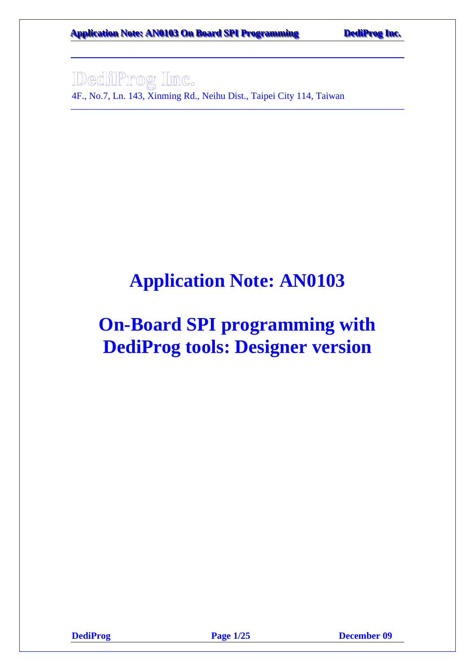**Application Note: AN0103 On Board SPI Programming DediProg Inc.** 

4F., No.7, Ln. 143, Xinming Rd., Neihu Dist., Taipei City 114, Taiwan

# **Application Note: AN0103**

# **On-Board SPI programming with DediProg tools: Designer version**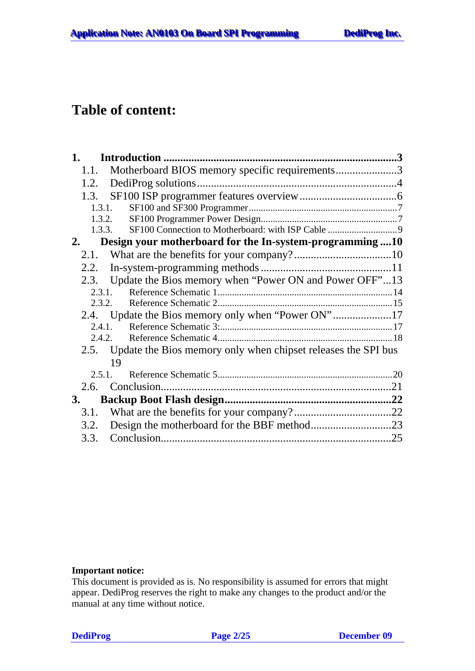### **Table of content:**

|    | 1.1.   | Motherboard BIOS memory specific requirements3                     |  |
|----|--------|--------------------------------------------------------------------|--|
|    | 1.2.   |                                                                    |  |
|    | 1.3.   |                                                                    |  |
|    | 1.3.1. |                                                                    |  |
|    |        | 1.3.2.                                                             |  |
|    |        | 1.3.3.                                                             |  |
|    | 2.     | Design your motherboard for the In-system-programming10            |  |
|    | 2.1.   |                                                                    |  |
|    |        |                                                                    |  |
|    |        | 2.3. Update the Bios memory when "Power ON and Power OFF"13        |  |
|    |        | 2.3.1.                                                             |  |
|    |        | 2.3.2.                                                             |  |
|    |        | 2.4. Update the Bios memory only when "Power ON"17                 |  |
|    |        | 2.4.1.                                                             |  |
|    |        | 2.4.2.                                                             |  |
|    |        | 2.5. Update the Bios memory only when chipset releases the SPI bus |  |
|    |        | 19                                                                 |  |
|    | 2.5.1  |                                                                    |  |
|    | 2.6.   |                                                                    |  |
| 3. |        |                                                                    |  |
|    | 3.1.   |                                                                    |  |
|    |        | 3.2. Design the motherboard for the BBF method23                   |  |
|    | 3.3.   |                                                                    |  |

#### **Important notice:**

This document is provided as is. No responsibility is assumed for errors that might appear. DediProg reserves the right to make any changes to the product and/or the manual at any time without notice.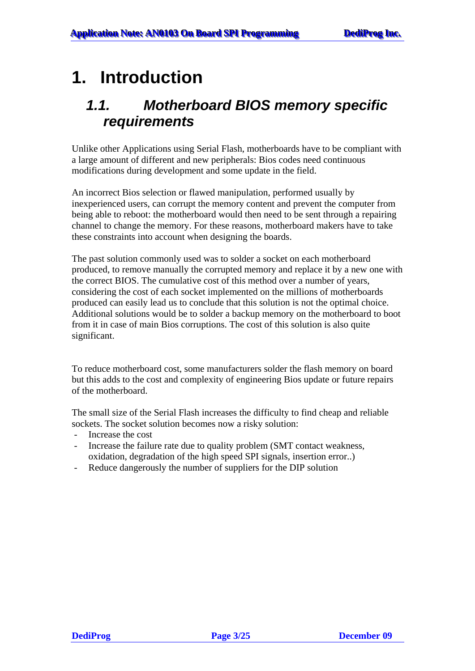## <span id="page-2-0"></span>**1. Introduction**

### *1.1. Motherboard BIOS memory specific requirements*

Unlike other Applications using Serial Flash, motherboards have to be compliant with a large amount of different and new peripherals: Bios codes need continuous modifications during development and some update in the field.

An incorrect Bios selection or flawed manipulation, performed usually by inexperienced users, can corrupt the memory content and prevent the computer from being able to reboot: the motherboard would then need to be sent through a repairing channel to change the memory. For these reasons, motherboard makers have to take these constraints into account when designing the boards.

The past solution commonly used was to solder a socket on each motherboard produced, to remove manually the corrupted memory and replace it by a new one with the correct BIOS. The cumulative cost of this method over a number of years, considering the cost of each socket implemented on the millions of motherboards produced can easily lead us to conclude that this solution is not the optimal choice. Additional solutions would be to solder a backup memory on the motherboard to boot from it in case of main Bios corruptions. The cost of this solution is also quite significant.

To reduce motherboard cost, some manufacturers solder the flash memory on board but this adds to the cost and complexity of engineering Bios update or future repairs of the motherboard.

The small size of the Serial Flash increases the difficulty to find cheap and reliable sockets. The socket solution becomes now a risky solution:

- Increase the cost
- Increase the failure rate due to quality problem (SMT contact weakness, oxidation, degradation of the high speed SPI signals, insertion error..)
- Reduce dangerously the number of suppliers for the DIP solution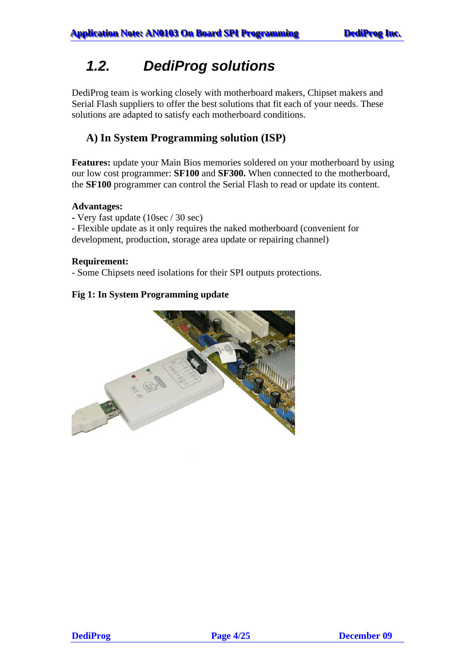## <span id="page-3-0"></span>*1.2. DediProg solutions*

DediProg team is working closely with motherboard makers, Chipset makers and Serial Flash suppliers to offer the best solutions that fit each of your needs. These solutions are adapted to satisfy each motherboard conditions.

### **A) In System Programming solution (ISP)**

**Features:** update your Main Bios memories soldered on your motherboard by using our low cost programmer: **SF100** and **SF300.** When connected to the motherboard, the **SF100** programmer can control the Serial Flash to read or update its content.

#### **Advantages:**

**-** Very fast update (10sec / 30 sec)

- Flexible update as it only requires the naked motherboard (convenient for development, production, storage area update or repairing channel)

#### **Requirement:**

- Some Chipsets need isolations for their SPI outputs protections.

#### **Fig 1: In System Programming update**

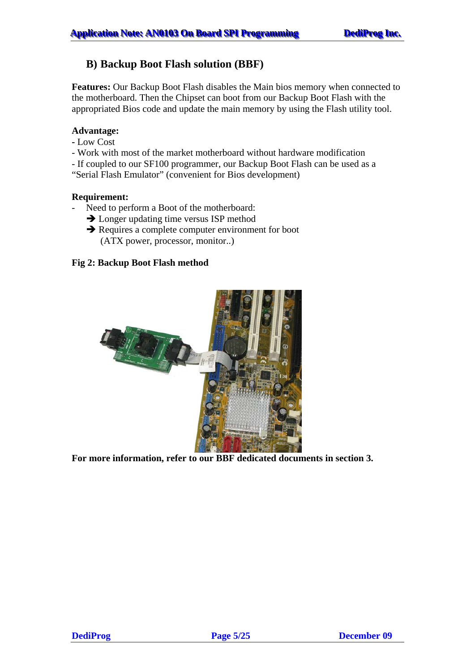#### **B) Backup Boot Flash solution (BBF)**

**Features:** Our Backup Boot Flash disables the Main bios memory when connected to the motherboard. Then the Chipset can boot from our Backup Boot Flash with the appropriated Bios code and update the main memory by using the Flash utility tool.

#### **Advantage:**

- Low Cost
- Work with most of the market motherboard without hardware modification
- If coupled to our SF100 programmer, our Backup Boot Flash can be used as a
- "Serial Flash Emulator" (convenient for Bios development)

#### **Requirement:**

- Need to perform a Boot of the motherboard:
	- $\rightarrow$  Longer updating time versus ISP method
	- $\rightarrow$  Requires a complete computer environment for boot (ATX power, processor, monitor..)

#### **Fig 2: Backup Boot Flash method**



**For more information, refer to our BBF dedicated documents in section 3.**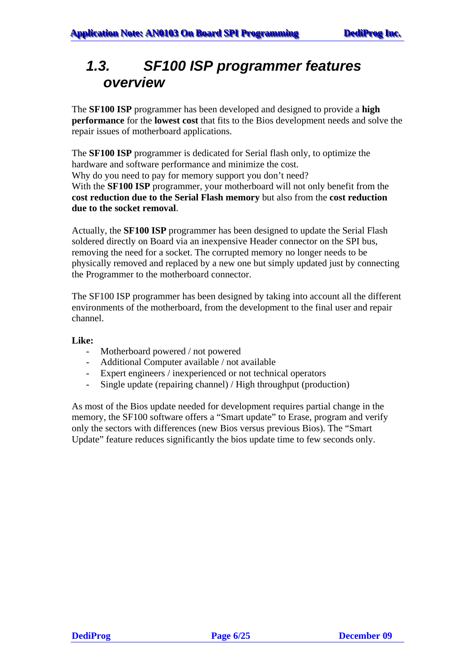### <span id="page-5-0"></span>*1.3. SF100 ISP programmer features overview*

The **SF100 ISP** programmer has been developed and designed to provide a **high performance** for the **lowest cost** that fits to the Bios development needs and solve the repair issues of motherboard applications.

The **SF100 ISP** programmer is dedicated for Serial flash only, to optimize the hardware and software performance and minimize the cost. Why do you need to pay for memory support you don't need? With the **SF100 ISP** programmer, your motherboard will not only benefit from the **cost reduction due to the Serial Flash memory** but also from the **cost reduction due to the socket removal**.

Actually, the **SF100 ISP** programmer has been designed to update the Serial Flash soldered directly on Board via an inexpensive Header connector on the SPI bus, removing the need for a socket. The corrupted memory no longer needs to be physically removed and replaced by a new one but simply updated just by connecting the Programmer to the motherboard connector.

The SF100 ISP programmer has been designed by taking into account all the different environments of the motherboard, from the development to the final user and repair channel.

#### **Like:**

- Motherboard powered / not powered
- Additional Computer available / not available
- Expert engineers / inexperienced or not technical operators
- Single update (repairing channel) / High throughput (production)

As most of the Bios update needed for development requires partial change in the memory, the SF100 software offers a "Smart update" to Erase, program and verify only the sectors with differences (new Bios versus previous Bios). The "Smart Update" feature reduces significantly the bios update time to few seconds only.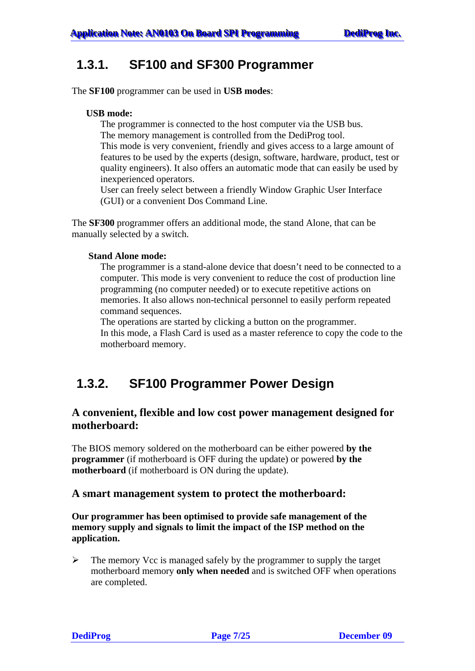### <span id="page-6-0"></span>**1.3.1. SF100 and SF300 Programmer**

The **SF100** programmer can be used in **USB modes**:

#### **USB mode:**

The programmer is connected to the host computer via the USB bus. The memory management is controlled from the DediProg tool.

This mode is very convenient, friendly and gives access to a large amount of features to be used by the experts (design, software, hardware, product, test or quality engineers). It also offers an automatic mode that can easily be used by inexperienced operators.

User can freely select between a friendly Window Graphic User Interface (GUI) or a convenient Dos Command Line.

The **SF300** programmer offers an additional mode, the stand Alone, that can be manually selected by a switch.

#### **Stand Alone mode:**

The programmer is a stand-alone device that doesn't need to be connected to a computer. This mode is very convenient to reduce the cost of production line programming (no computer needed) or to execute repetitive actions on memories. It also allows non-technical personnel to easily perform repeated command sequences.

The operations are started by clicking a button on the programmer. In this mode, a Flash Card is used as a master reference to copy the code to the motherboard memory.

### **1.3.2. SF100 Programmer Power Design**

#### **A convenient, flexible and low cost power management designed for motherboard:**

The BIOS memory soldered on the motherboard can be either powered **by the programmer** (if motherboard is OFF during the update) or powered **by the motherboard** (if motherboard is ON during the update).

#### **A smart management system to protect the motherboard:**

**Our programmer has been optimised to provide safe management of the memory supply and signals to limit the impact of the ISP method on the application.** 

 $\triangleright$  The memory Vcc is managed safely by the programmer to supply the target motherboard memory **only when needed** and is switched OFF when operations are completed.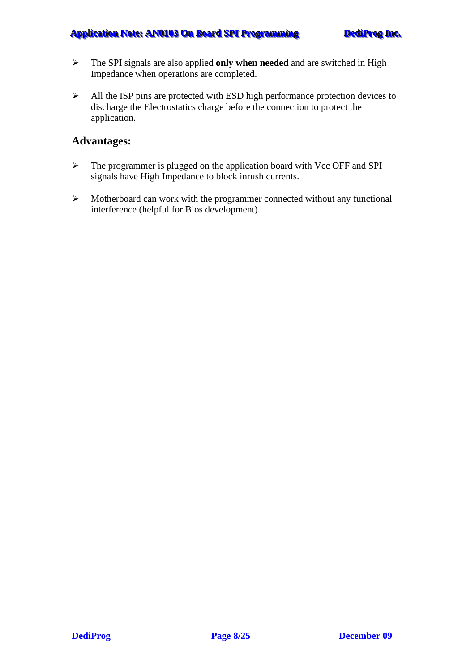- ¾ The SPI signals are also applied **only when needed** and are switched in High Impedance when operations are completed.
- ¾ All the ISP pins are protected with ESD high performance protection devices to discharge the Electrostatics charge before the connection to protect the application.

#### **Advantages:**

- ¾ The programmer is plugged on the application board with Vcc OFF and SPI signals have High Impedance to block inrush currents.
- $\triangleright$  Motherboard can work with the programmer connected without any functional interference (helpful for Bios development).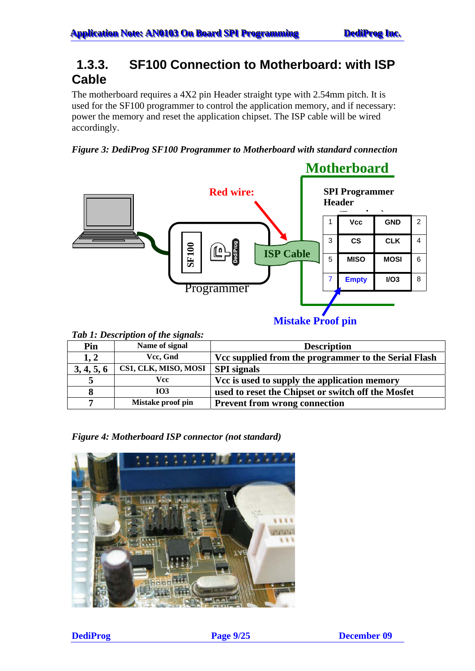### <span id="page-8-0"></span>**1.3.3. SF100 Connection to Motherboard: with ISP Cable**

The motherboard requires a 4X2 pin Header straight type with 2.54mm pitch. It is used for the SF100 programmer to control the application memory, and if necessary: power the memory and reset the application chipset. The ISP cable will be wired accordingly.

*Figure 3: DediProg SF100 Programmer to Motherboard with standard connection* 



| Pin        | Name of signal       | <b>Description</b>                                   |
|------------|----------------------|------------------------------------------------------|
| 1, 2       | Vcc, Gnd             | Vcc supplied from the programmer to the Serial Flash |
| 3, 4, 5, 6 | CS1, CLK, MISO, MOSI | <b>SPI</b> signals                                   |
|            | Vcc                  | Vcc is used to supply the application memory         |
| 8          | <b>IO3</b>           | used to reset the Chipset or switch off the Mosfet   |
|            | Mistake proof pin    | <b>Prevent from wrong connection</b>                 |

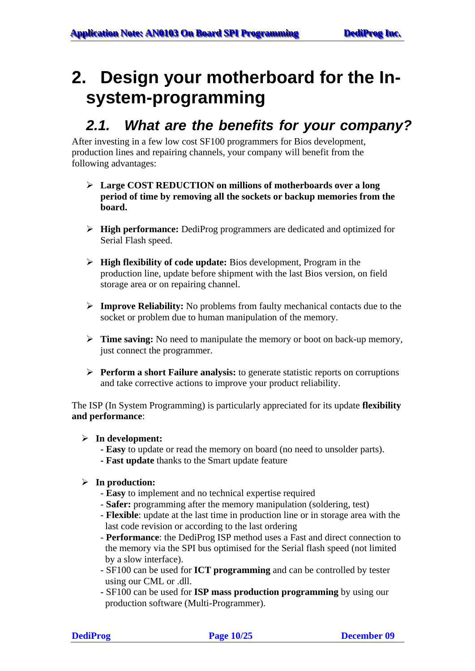## <span id="page-9-0"></span>**2. Design your motherboard for the Insystem-programming**

### *2.1. What are the benefits for your company?*

After investing in a few low cost SF100 programmers for Bios development, production lines and repairing channels, your company will benefit from the following advantages:

- ¾ **Large COST REDUCTION on millions of motherboards over a long period of time by removing all the sockets or backup memories from the board.**
- ¾ **High performance:** DediProg programmers are dedicated and optimized for Serial Flash speed.
- ¾ **High flexibility of code update:** Bios development, Program in the production line, update before shipment with the last Bios version, on field storage area or on repairing channel.
- ¾ **Improve Reliability:** No problems from faulty mechanical contacts due to the socket or problem due to human manipulation of the memory.
- ¾ **Time saving:** No need to manipulate the memory or boot on back-up memory, just connect the programmer.
- ¾ **Perform a short Failure analysis:** to generate statistic reports on corruptions and take corrective actions to improve your product reliability.

The ISP (In System Programming) is particularly appreciated for its update **flexibility and performance**:

#### ¾ **In development:**

- **- Easy** to update or read the memory on board (no need to unsolder parts).
- **- Fast update** thanks to the Smart update feature

#### ¾ **In production:**

- **Easy** to implement and no technical expertise required
- **Safer:** programming after the memory manipulation (soldering, test)
- **Flexible**: update at the last time in production line or in storage area with the last code revision or according to the last ordering
- **Performance**: the DediProg ISP method uses a Fast and direct connection to the memory via the SPI bus optimised for the Serial flash speed (not limited by a slow interface).
- SF100 can be used for **ICT programming** and can be controlled by tester using our CML or .dll.
- SF100 can be used for **ISP mass production programming** by using our production software (Multi-Programmer).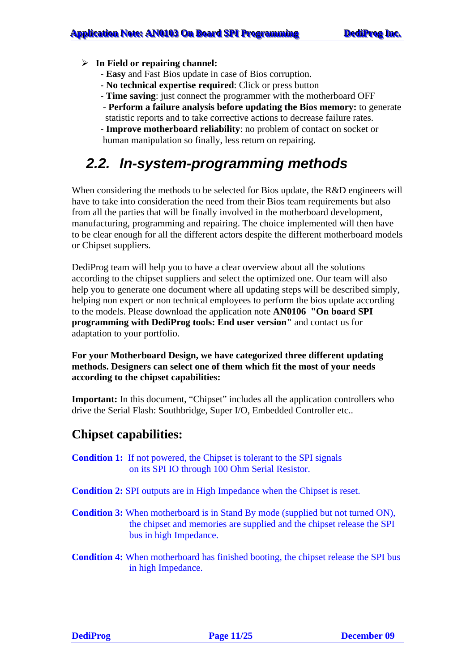- <span id="page-10-0"></span>¾ **In Field or repairing channel:**
	- - **Easy** and Fast Bios update in case of Bios corruption.
	- **No technical expertise required**: Click or press button
	- **Time saving**: just connect the programmer with the motherboard OFF
	- **Perform a failure analysis before updating the Bios memory:** to generate statistic reports and to take corrective actions to decrease failure rates.
	- **Improve motherboard reliability**: no problem of contact on socket or human manipulation so finally, less return on repairing.

### *2.2. In-system-programming methods*

When considering the methods to be selected for Bios update, the R&D engineers will have to take into consideration the need from their Bios team requirements but also from all the parties that will be finally involved in the motherboard development, manufacturing, programming and repairing. The choice implemented will then have to be clear enough for all the different actors despite the different motherboard models or Chipset suppliers.

DediProg team will help you to have a clear overview about all the solutions according to the chipset suppliers and select the optimized one. Our team will also help you to generate one document where all updating steps will be described simply, helping non expert or non technical employees to perform the bios update according to the models. Please download the application note **AN0106 "On board SPI programming with DediProg tools: End user version"** and contact us for adaptation to your portfolio.

**For your Motherboard Design, we have categorized three different updating methods. Designers can select one of them which fit the most of your needs according to the chipset capabilities:** 

**Important:** In this document, "Chipset" includes all the application controllers who drive the Serial Flash: Southbridge, Super I/O, Embedded Controller etc..

### **Chipset capabilities:**

- **Condition 1:** If not powered, the Chipset is tolerant to the SPI signals on its SPI IO through 100 Ohm Serial Resistor.
- **Condition 2:** SPI outputs are in High Impedance when the Chipset is reset.
- **Condition 3:** When motherboard is in Stand By mode (supplied but not turned ON), the chipset and memories are supplied and the chipset release the SPI bus in high Impedance.
- **Condition 4:** When motherboard has finished booting, the chipset release the SPI bus in high Impedance.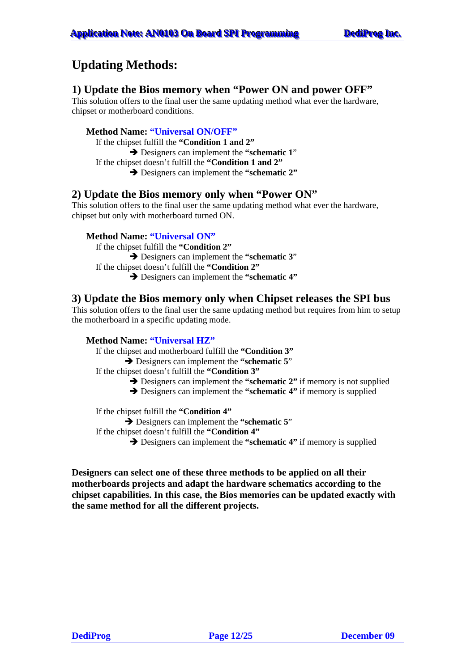### **Updating Methods:**

#### **1) Update the Bios memory when "Power ON and power OFF"**

This solution offers to the final user the same updating method what ever the hardware, chipset or motherboard conditions.

#### **Method Name: "Universal ON/OFF"**

If the chipset fulfill the **"Condition 1 and 2"**

**→** Designers can implement the "schematic 1"

If the chipset doesn't fulfill the **"Condition 1 and 2"**

 $→$  Designers can implement the "schematic 2"

#### **2) Update the Bios memory only when "Power ON"**

This solution offers to the final user the same updating method what ever the hardware, chipset but only with motherboard turned ON.

#### **Method Name: "Universal ON"**

If the chipset fulfill the **"Condition 2" →** Designers can implement the "**schematic 3**" If the chipset doesn't fulfill the **"Condition 2"** Î Designers can implement the **"schematic 4"**

#### **3) Update the Bios memory only when Chipset releases the SPI bus**

This solution offers to the final user the same updating method but requires from him to setup the motherboard in a specific updating mode.

#### **Method Name: "Universal HZ"**

If the chipset and motherboard fulfill the **"Condition 3"**

- Î Designers can implement the **"schematic 5**" If the chipset doesn't fulfill the **"Condition 3"**
	- $\rightarrow$  Designers can implement the "schematic 2" if memory is not supplied

 $\rightarrow$  Designers can implement the "schematic 4" if memory is supplied

If the chipset fulfill the **"Condition 4"**

 $\rightarrow$  Designers can implement the "schematic 5"

If the chipset doesn't fulfill the **"Condition 4"**

 $\rightarrow$  Designers can implement the "**schematic 4**" if memory is supplied

**Designers can select one of these three methods to be applied on all their motherboards projects and adapt the hardware schematics according to the chipset capabilities. In this case, the Bios memories can be updated exactly with the same method for all the different projects.**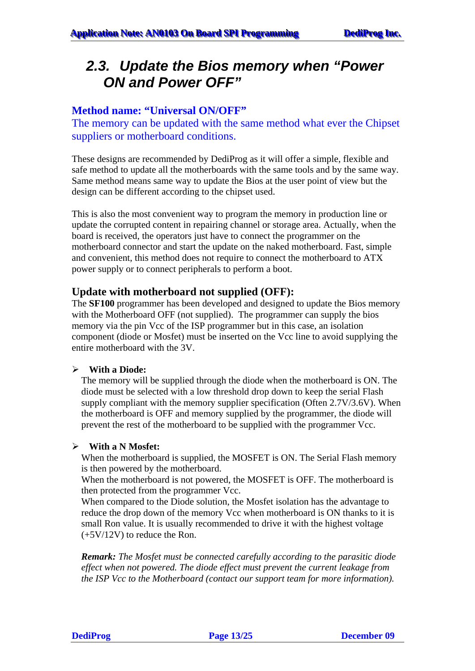### <span id="page-12-0"></span>*2.3. Update the Bios memory when "Power ON and Power OFF"*

#### **Method name: "Universal ON/OFF"**

The memory can be updated with the same method what ever the Chipset suppliers or motherboard conditions.

These designs are recommended by DediProg as it will offer a simple, flexible and safe method to update all the motherboards with the same tools and by the same way. Same method means same way to update the Bios at the user point of view but the design can be different according to the chipset used.

This is also the most convenient way to program the memory in production line or update the corrupted content in repairing channel or storage area. Actually, when the board is received, the operators just have to connect the programmer on the motherboard connector and start the update on the naked motherboard. Fast, simple and convenient, this method does not require to connect the motherboard to ATX power supply or to connect peripherals to perform a boot.

#### **Update with motherboard not supplied (OFF):**

The **SF100** programmer has been developed and designed to update the Bios memory with the Motherboard OFF (not supplied). The programmer can supply the bios memory via the pin Vcc of the ISP programmer but in this case, an isolation component (diode or Mosfet) must be inserted on the Vcc line to avoid supplying the entire motherboard with the 3V.

#### ¾ **With a Diode:**

The memory will be supplied through the diode when the motherboard is ON. The diode must be selected with a low threshold drop down to keep the serial Flash supply compliant with the memory supplier specification (Often 2.7V/3.6V). When the motherboard is OFF and memory supplied by the programmer, the diode will prevent the rest of the motherboard to be supplied with the programmer Vcc.

#### ¾ **With a N Mosfet:**

When the motherboard is supplied, the MOSFET is ON. The Serial Flash memory is then powered by the motherboard.

When the motherboard is not powered, the MOSFET is OFF. The motherboard is then protected from the programmer Vcc.

When compared to the Diode solution, the Mosfet isolation has the advantage to reduce the drop down of the memory Vcc when motherboard is ON thanks to it is small Ron value. It is usually recommended to drive it with the highest voltage (+5V/12V) to reduce the Ron.

*Remark: The Mosfet must be connected carefully according to the parasitic diode effect when not powered. The diode effect must prevent the current leakage from the ISP Vcc to the Motherboard (contact our support team for more information).*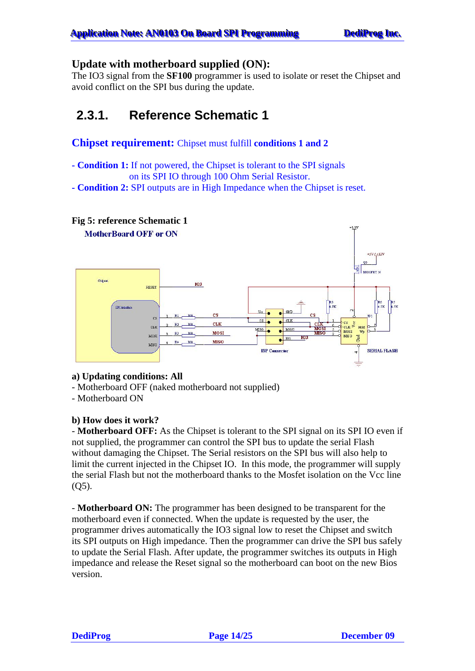#### <span id="page-13-0"></span>**Update with motherboard supplied (ON):**

The IO3 signal from the **SF100** programmer is used to isolate or reset the Chipset and avoid conflict on the SPI bus during the update.

### **2.3.1. Reference Schematic 1**

#### **Chipset requirement:** Chipset must fulfill **conditions 1 and 2**

**- Condition 1:** If not powered, the Chipset is tolerant to the SPI signals on its SPI IO through 100 Ohm Serial Resistor.

**- Condition 2:** SPI outputs are in High Impedance when the Chipset is reset.



#### **a) Updating conditions: All**

- Motherboard OFF (naked motherboard not supplied)
- Motherboard ON

#### **b) How does it work?**

- **Motherboard OFF:** As the Chipset is tolerant to the SPI signal on its SPI IO even if not supplied, the programmer can control the SPI bus to update the serial Flash without damaging the Chipset. The Serial resistors on the SPI bus will also help to limit the current injected in the Chipset IO. In this mode, the programmer will supply the serial Flash but not the motherboard thanks to the Mosfet isolation on the Vcc line  $(O<sub>5</sub>)$ .

- **Motherboard ON:** The programmer has been designed to be transparent for the motherboard even if connected. When the update is requested by the user, the programmer drives automatically the IO3 signal low to reset the Chipset and switch its SPI outputs on High impedance. Then the programmer can drive the SPI bus safely to update the Serial Flash. After update, the programmer switches its outputs in High impedance and release the Reset signal so the motherboard can boot on the new Bios version.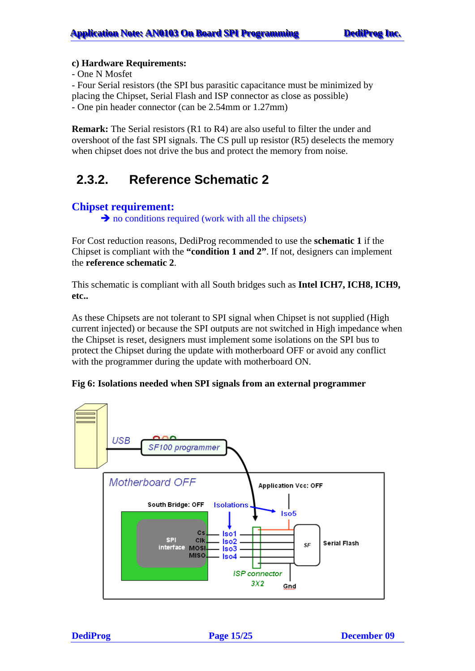#### <span id="page-14-0"></span>**c) Hardware Requirements:**

- One N Mosfet

- Four Serial resistors (the SPI bus parasitic capacitance must be minimized by placing the Chipset, Serial Flash and ISP connector as close as possible) - One pin header connector (can be 2.54mm or 1.27mm)

**Remark:** The Serial resistors (R1 to R4) are also useful to filter the under and overshoot of the fast SPI signals. The CS pull up resistor (R5) deselects the memory when chipset does not drive the bus and protect the memory from noise.

### **2.3.2. Reference Schematic 2**

#### **Chipset requirement:**

 $\rightarrow$  no conditions required (work with all the chipsets)

For Cost reduction reasons, DediProg recommended to use the **schematic 1** if the Chipset is compliant with the **"condition 1 and 2"**. If not, designers can implement the **reference schematic 2**.

This schematic is compliant with all South bridges such as **Intel ICH7, ICH8, ICH9, etc..** 

As these Chipsets are not tolerant to SPI signal when Chipset is not supplied (High current injected) or because the SPI outputs are not switched in High impedance when the Chipset is reset, designers must implement some isolations on the SPI bus to protect the Chipset during the update with motherboard OFF or avoid any conflict with the programmer during the update with motherboard ON.

#### **Fig 6: Isolations needed when SPI signals from an external programmer**

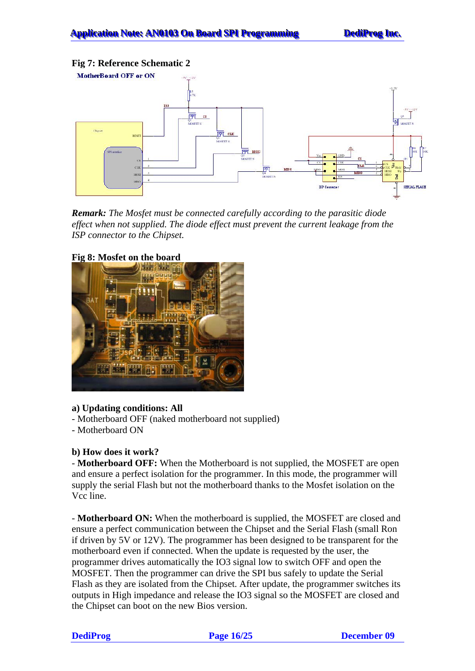#### **Fig 7: Reference Schematic 2**



*Remark: The Mosfet must be connected carefully according to the parasitic diode effect when not supplied. The diode effect must prevent the current leakage from the ISP connector to the Chipset.* 



#### **Fig 8: Mosfet on the board**

#### **a) Updating conditions: All**

- Motherboard OFF (naked motherboard not supplied)
- Motherboard ON

#### **b) How does it work?**

- **Motherboard OFF:** When the Motherboard is not supplied, the MOSFET are open and ensure a perfect isolation for the programmer. In this mode, the programmer will supply the serial Flash but not the motherboard thanks to the Mosfet isolation on the Vcc line.

- **Motherboard ON:** When the motherboard is supplied, the MOSFET are closed and ensure a perfect communication between the Chipset and the Serial Flash (small Ron if driven by 5V or 12V). The programmer has been designed to be transparent for the motherboard even if connected. When the update is requested by the user, the programmer drives automatically the IO3 signal low to switch OFF and open the MOSFET. Then the programmer can drive the SPI bus safely to update the Serial Flash as they are isolated from the Chipset. After update, the programmer switches its outputs in High impedance and release the IO3 signal so the MOSFET are closed and the Chipset can boot on the new Bios version.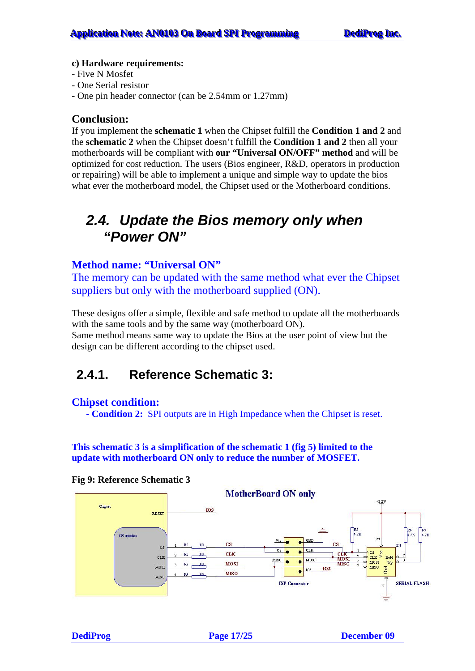#### <span id="page-16-0"></span>**c) Hardware requirements:**

- Five N Mosfet
- One Serial resistor
- One pin header connector (can be 2.54mm or 1.27mm)

#### **Conclusion:**

If you implement the **schematic 1** when the Chipset fulfill the **Condition 1 and 2** and the **schematic 2** when the Chipset doesn't fulfill the **Condition 1 and 2** then all your motherboards will be compliant with **our "Universal ON/OFF" method** and will be optimized for cost reduction. The users (Bios engineer, R&D, operators in production or repairing) will be able to implement a unique and simple way to update the bios what ever the motherboard model, the Chipset used or the Motherboard conditions.

### *2.4. Update the Bios memory only when "Power ON"*

#### **Method name: "Universal ON"**

The memory can be updated with the same method what ever the Chipset suppliers but only with the motherboard supplied (ON).

These designs offer a simple, flexible and safe method to update all the motherboards with the same tools and by the same way (motherboard ON). Same method means same way to update the Bios at the user point of view but the design can be different according to the chipset used.

### **2.4.1. Reference Schematic 3:**

#### **Chipset condition:**

**- Condition 2:** SPI outputs are in High Impedance when the Chipset is reset.

**This schematic 3 is a simplification of the schematic 1 (fig 5) limited to the update with motherboard ON only to reduce the number of MOSFET.** 



#### **Fig 9: Reference Schematic 3**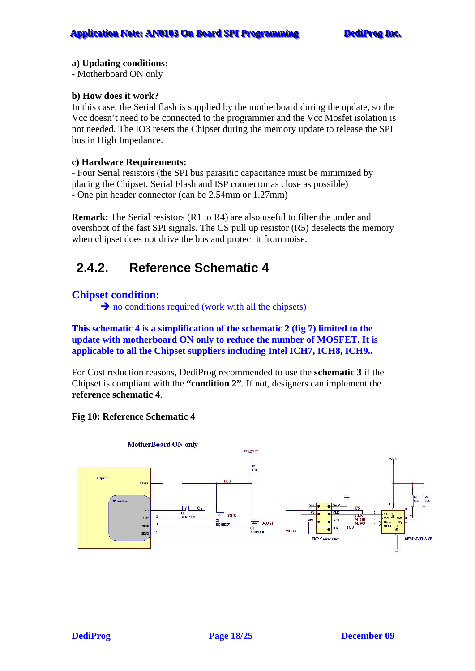#### <span id="page-17-0"></span>**a) Updating conditions:**

- Motherboard ON only

#### **b) How does it work?**

In this case, the Serial flash is supplied by the motherboard during the update, so the Vcc doesn't need to be connected to the programmer and the Vcc Mosfet isolation is not needed. The IO3 resets the Chipset during the memory update to release the SPI bus in High Impedance.

#### **c) Hardware Requirements:**

- Four Serial resistors (the SPI bus parasitic capacitance must be minimized by placing the Chipset, Serial Flash and ISP connector as close as possible) - One pin header connector (can be 2.54mm or 1.27mm)

**Remark:** The Serial resistors (R1 to R4) are also useful to filter the under and overshoot of the fast SPI signals. The CS pull up resistor (R5) deselects the memory when chipset does not drive the bus and protect it from noise.

### **2.4.2. Reference Schematic 4**

#### **Chipset condition:**

 $\rightarrow$  no conditions required (work with all the chipsets)

#### **This schematic 4 is a simplification of the schematic 2 (fig 7) limited to the update with motherboard ON only to reduce the number of MOSFET. It is applicable to all the Chipset suppliers including Intel ICH7, ICH8, ICH9..**

For Cost reduction reasons, DediProg recommended to use the **schematic 3** if the Chipset is compliant with the **"condition 2"**. If not, designers can implement the **reference schematic 4**.

#### **Fig 10: Reference Schematic 4**

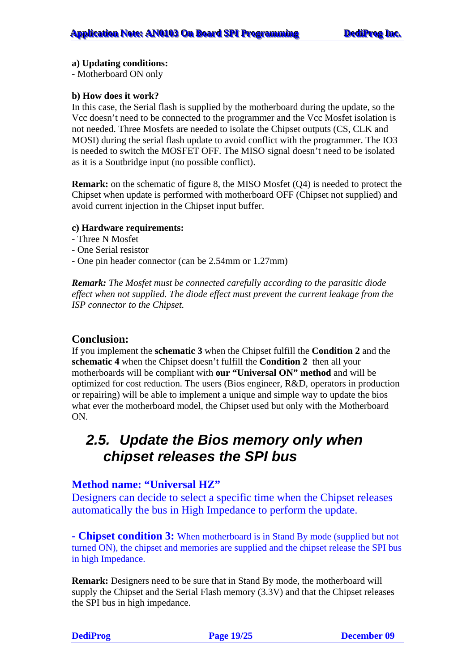#### <span id="page-18-0"></span>**a) Updating conditions:**

- Motherboard ON only

#### **b) How does it work?**

In this case, the Serial flash is supplied by the motherboard during the update, so the Vcc doesn't need to be connected to the programmer and the Vcc Mosfet isolation is not needed. Three Mosfets are needed to isolate the Chipset outputs (CS, CLK and MOSI) during the serial flash update to avoid conflict with the programmer. The IO3 is needed to switch the MOSFET OFF. The MISO signal doesn't need to be isolated as it is a Soutbridge input (no possible conflict).

**Remark:** on the schematic of figure 8, the MISO Mosfet (Q4) is needed to protect the Chipset when update is performed with motherboard OFF (Chipset not supplied) and avoid current injection in the Chipset input buffer.

#### **c) Hardware requirements:**

- Three N Mosfet
- One Serial resistor
- One pin header connector (can be 2.54mm or 1.27mm)

*Remark: The Mosfet must be connected carefully according to the parasitic diode effect when not supplied. The diode effect must prevent the current leakage from the ISP connector to the Chipset.* 

#### **Conclusion:**

If you implement the **schematic 3** when the Chipset fulfill the **Condition 2** and the **schematic 4** when the Chipset doesn't fulfill the **Condition 2** then all your motherboards will be compliant with **our "Universal ON" method** and will be optimized for cost reduction. The users (Bios engineer, R&D, operators in production or repairing) will be able to implement a unique and simple way to update the bios what ever the motherboard model, the Chipset used but only with the Motherboard ON.

### *2.5. Update the Bios memory only when chipset releases the SPI bus*

#### **Method name: "Universal HZ"**

Designers can decide to select a specific time when the Chipset releases automatically the bus in High Impedance to perform the update.

**- Chipset condition 3:** When motherboard is in Stand By mode (supplied but not turned ON), the chipset and memories are supplied and the chipset release the SPI bus in high Impedance.

**Remark:** Designers need to be sure that in Stand By mode, the motherboard will supply the Chipset and the Serial Flash memory (3.3V) and that the Chipset releases the SPI bus in high impedance.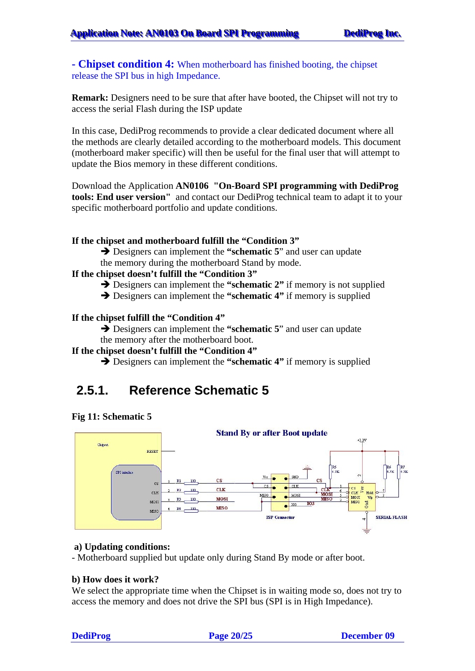#### <span id="page-19-0"></span>**- Chipset condition 4:** When motherboard has finished booting, the chipset release the SPI bus in high Impedance.

**Remark:** Designers need to be sure that after have booted, the Chipset will not try to access the serial Flash during the ISP update

In this case, DediProg recommends to provide a clear dedicated document where all the methods are clearly detailed according to the motherboard models. This document (motherboard maker specific) will then be useful for the final user that will attempt to update the Bios memory in these different conditions.

Download the Application **AN0106 "On-Board SPI programming with DediProg tools: End user version"** and contact our DediProg technical team to adapt it to your specific motherboard portfolio and update conditions.

#### **If the chipset and motherboard fulfill the "Condition 3"**

**→** Designers can implement the "**schematic 5**" and user can update the memory during the motherboard Stand by mode.

#### **If the chipset doesn't fulfill the "Condition 3"**

- $\rightarrow$  Designers can implement the "**schematic 2**" if memory is not supplied
- $\rightarrow$  Designers can implement the **"schematic 4"** if memory is supplied

#### **If the chipset fulfill the "Condition 4"**

 $\rightarrow$  Designers can implement the "schematic 5" and user can update the memory after the motherboard boot.

#### **If the chipset doesn't fulfill the "Condition 4"**

 $\rightarrow$  Designers can implement the "schematic 4" if memory is supplied

### **2.5.1. Reference Schematic 5**





#### **a) Updating conditions:**

- Motherboard supplied but update only during Stand By mode or after boot.

#### **b) How does it work?**

We select the appropriate time when the Chipset is in waiting mode so, does not try to access the memory and does not drive the SPI bus (SPI is in High Impedance).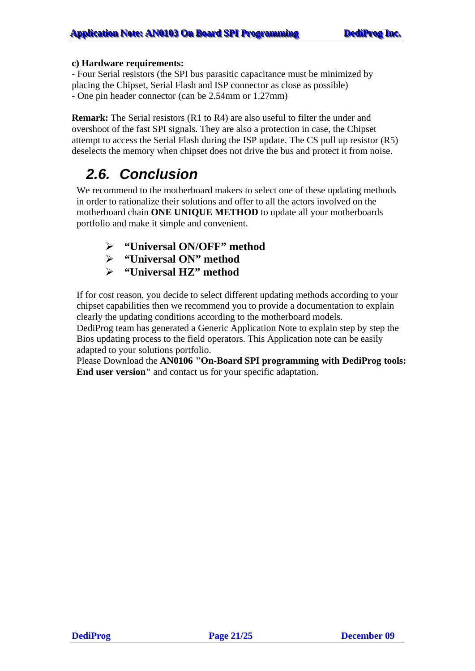#### <span id="page-20-0"></span>**c) Hardware requirements:**

- Four Serial resistors (the SPI bus parasitic capacitance must be minimized by placing the Chipset, Serial Flash and ISP connector as close as possible) - One pin header connector (can be 2.54mm or 1.27mm)

**Remark:** The Serial resistors (R1 to R4) are also useful to filter the under and overshoot of the fast SPI signals. They are also a protection in case, the Chipset attempt to access the Serial Flash during the ISP update. The CS pull up resistor (R5) deselects the memory when chipset does not drive the bus and protect it from noise.

### *2.6. Conclusion*

We recommend to the motherboard makers to select one of these updating methods in order to rationalize their solutions and offer to all the actors involved on the motherboard chain **ONE UNIQUE METHOD** to update all your motherboards portfolio and make it simple and convenient.

- ¾ **"Universal ON/OFF" method**
- ¾ **"Universal ON" method**
- ¾ **"Universal HZ" method**

If for cost reason, you decide to select different updating methods according to your chipset capabilities then we recommend you to provide a documentation to explain clearly the updating conditions according to the motherboard models.

DediProg team has generated a Generic Application Note to explain step by step the Bios updating process to the field operators. This Application note can be easily adapted to your solutions portfolio.

Please Download the **AN0106 "On-Board SPI programming with DediProg tools: End user version"** and contact us for your specific adaptation.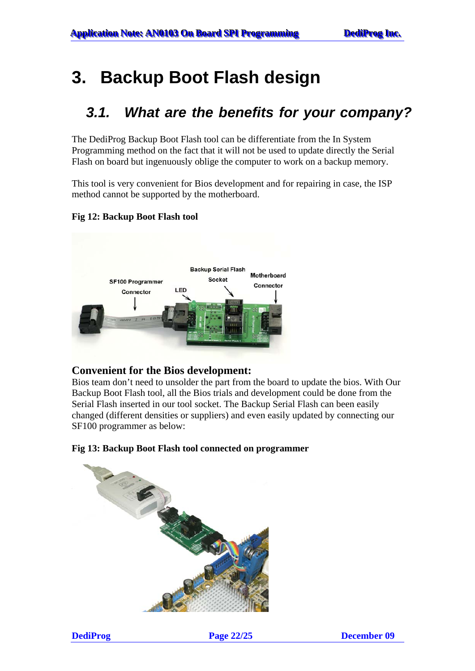## <span id="page-21-0"></span>**3. Backup Boot Flash design**

### *3.1. What are the benefits for your company?*

The DediProg Backup Boot Flash tool can be differentiate from the In System Programming method on the fact that it will not be used to update directly the Serial Flash on board but ingenuously oblige the computer to work on a backup memory.

This tool is very convenient for Bios development and for repairing in case, the ISP method cannot be supported by the motherboard.

#### **Fig 12: Backup Boot Flash tool**



#### **Convenient for the Bios development:**

Bios team don't need to unsolder the part from the board to update the bios. With Our Backup Boot Flash tool, all the Bios trials and development could be done from the Serial Flash inserted in our tool socket. The Backup Serial Flash can been easily changed (different densities or suppliers) and even easily updated by connecting our SF100 programmer as below:

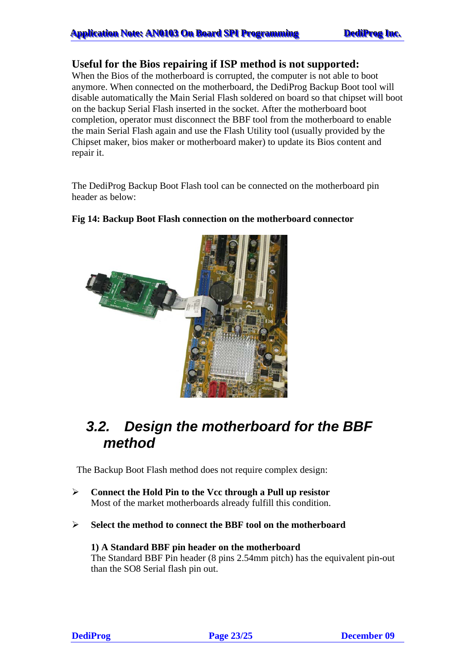#### <span id="page-22-0"></span>**Useful for the Bios repairing if ISP method is not supported:**

When the Bios of the motherboard is corrupted, the computer is not able to boot anymore. When connected on the motherboard, the DediProg Backup Boot tool will disable automatically the Main Serial Flash soldered on board so that chipset will boot on the backup Serial Flash inserted in the socket. After the motherboard boot completion, operator must disconnect the BBF tool from the motherboard to enable the main Serial Flash again and use the Flash Utility tool (usually provided by the Chipset maker, bios maker or motherboard maker) to update its Bios content and repair it.

The DediProg Backup Boot Flash tool can be connected on the motherboard pin header as below:

#### **Fig 14: Backup Boot Flash connection on the motherboard connector**



### *3.2. Design the motherboard for the BBF method*

The Backup Boot Flash method does not require complex design:

- ¾ **Connect the Hold Pin to the Vcc through a Pull up resistor**  Most of the market motherboards already fulfill this condition.
- ¾ **Select the method to connect the BBF tool on the motherboard**

### **1) A Standard BBF pin header on the motherboard**

The Standard BBF Pin header (8 pins 2.54mm pitch) has the equivalent pin-out than the SO8 Serial flash pin out.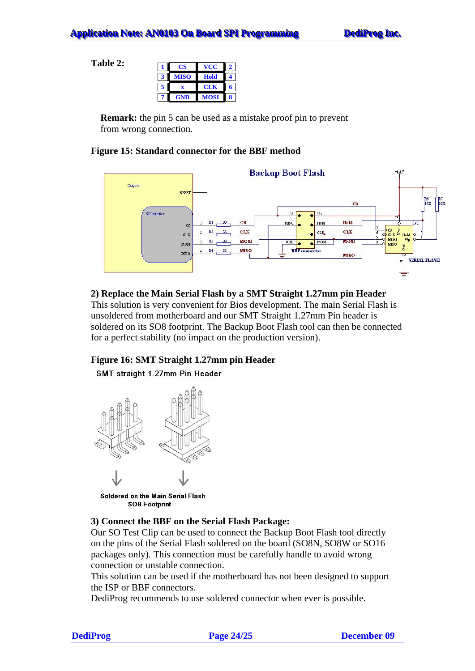**Table 2:** 

|   | CS          | vcc        | 2 |
|---|-------------|------------|---|
| 3 | <b>MISO</b> | Hold       |   |
| 5 | X           | <b>CLK</b> |   |
|   | <b>GND</b>  | MOSI       | 8 |

**Remark:** the pin 5 can be used as a mistake proof pin to prevent from wrong connection.

#### **Figure 15: Standard connector for the BBF method**



#### **2) Replace the Main Serial Flash by a SMT Straight 1.27mm pin Header**

This solution is very convenient for Bios development. The main Serial Flash is unsoldered from motherboard and our SMT Straight 1.27mm Pin header is soldered on its SO8 footprint. The Backup Boot Flash tool can then be connected for a perfect stability (no impact on the production version).

#### **Figure 16: SMT Straight 1.27mm pin Header**

#### SMT straight 1.27mm Pin Header



Soldered on the Main Serial Flash **SO8 Footprint** 

#### **3) Connect the BBF on the Serial Flash Package:**

Our SO Test Clip can be used to connect the Backup Boot Flash tool directly on the pins of the Serial Flash soldered on the board (SO8N, SO8W or SO16 packages only). This connection must be carefully handle to avoid wrong connection or unstable connection.

This solution can be used if the motherboard has not been designed to support the ISP or BBF connectors.

DediProg recommends to use soldered connector when ever is possible.